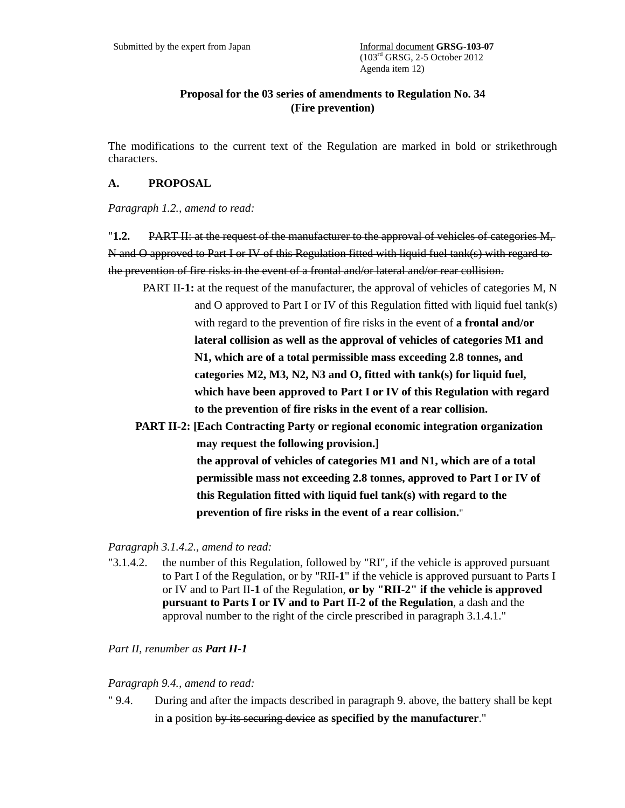# **Proposal for the 03 series of amendments to Regulation No. 34 (Fire prevention)**

The modifications to the current text of the Regulation are marked in bold or strikethrough characters.

## **A. PROPOSAL**

*Paragraph 1.2., amend to read:* 

"**1.2.** PART II: at the request of the manufacturer to the approval of vehicles of categories M, N and O approved to Part I or IV of this Regulation fitted with liquid fuel tank(s) with regard to the prevention of fire risks in the event of a frontal and/or lateral and/or rear collision.

- PART II**-1:** at the request of the manufacturer, the approval of vehicles of categories M, N and O approved to Part I or IV of this Regulation fitted with liquid fuel tank(s) with regard to the prevention of fire risks in the event of **a frontal and/or lateral collision as well as the approval of vehicles of categories M1 and N1, which are of a total permissible mass exceeding 2.8 tonnes, and categories M2, M3, N2, N3 and O, fitted with tank(s) for liquid fuel, which have been approved to Part I or IV of this Regulation with regard to the prevention of fire risks in the event of a rear collision.**
- **PART II-2: [Each Contracting Party or regional economic integration organization may request the following provision.] the approval of vehicles of categories M1 and N1, which are of a total permissible mass not exceeding 2.8 tonnes, approved to Part I or IV of this Regulation fitted with liquid fuel tank(s) with regard to the prevention of fire risks in the event of a rear collision.**"

## *Paragraph 3.1.4.2., amend to read:*

"3.1.4.2. the number of this Regulation, followed by "RI", if the vehicle is approved pursuant to Part I of the Regulation, or by "RII**-1**" if the vehicle is approved pursuant to Parts I or IV and to Part II**-1** of the Regulation, **or by "RII-2" if the vehicle is approved pursuant to Parts I or IV and to Part II-2 of the Regulation**, a dash and the approval number to the right of the circle prescribed in paragraph 3.1.4.1."

*Part II, renumber as Part II-1*

## *Paragraph 9.4., amend to read:*

" 9.4. During and after the impacts described in paragraph 9. above, the battery shall be kept in **a** position by its securing device **as specified by the manufacturer**."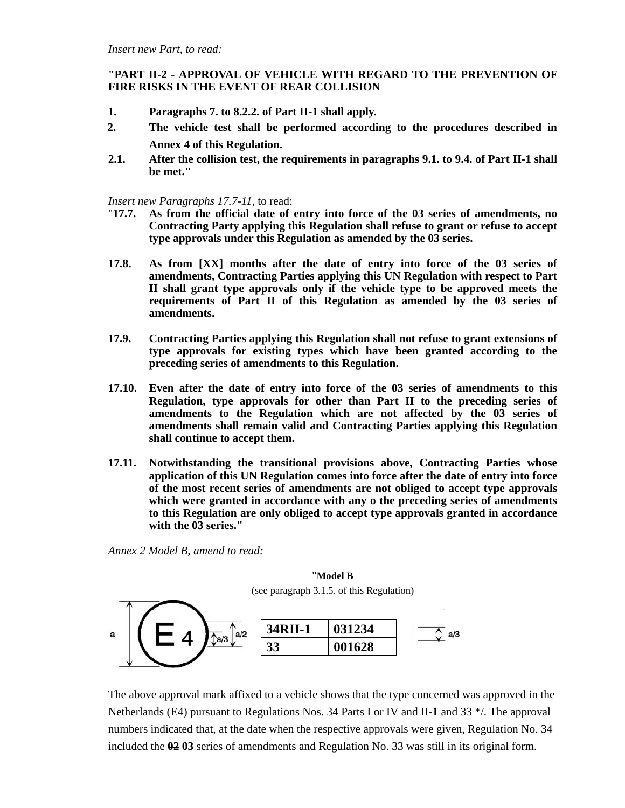## **"PART II-2 - APPROVAL OF VEHICLE WITH REGARD TO THE PREVENTION OF FIRE RISKS IN THE EVENT OF REAR COLLISION**

- **1. Paragraphs 7. to 8.2.2. of Part II-1 shall apply.**
- **2. The vehicle test shall be performed according to the procedures described in Annex 4 of this Regulation.**
- **2.1. After the collision test, the requirements in paragraphs 9.1. to 9.4. of Part II-1 shall be met."**

*Insert new Paragraphs 17.7-11,* to read:

- "**17.7. As from the official date of entry into force of the 03 series of amendments, no Contracting Party applying this Regulation shall refuse to grant or refuse to accept type approvals under this Regulation as amended by the 03 series.**
- **17.8. As from [XX] months after the date of entry into force of the 03 series of amendments, Contracting Parties applying this UN Regulation with respect to Part II shall grant type approvals only if the vehicle type to be approved meets the requirements of Part II of this Regulation as amended by the 03 series of amendments.**
- **17.9. Contracting Parties applying this Regulation shall not refuse to grant extensions of type approvals for existing types which have been granted according to the preceding series of amendments to this Regulation.**
- **17.10. Even after the date of entry into force of the 03 series of amendments to this Regulation, type approvals for other than Part II to the preceding series of amendments to the Regulation which are not affected by the 03 series of amendments shall remain valid and Contracting Parties applying this Regulation shall continue to accept them.**
- **17.11. Notwithstanding the transitional provisions above, Contracting Parties whose application of this UN Regulation comes into force after the date of entry into force of the most recent series of amendments are not obliged to accept type approvals which were granted in accordance with any o the preceding series of amendments to this Regulation are only obliged to accept type approvals granted in accordance with the 03 series."**

*Annex 2 Model B, amend to read:* 



The above approval mark affixed to a vehicle shows that the type concerned was approved in the Netherlands (E4) pursuant to Regulations Nos. 34 Parts I or IV and II**-1** and 33 \*/. The approval numbers indicated that, at the date when the respective approvals were given, Regulation No. 34 included the **02 03** series of amendments and Regulation No. 33 was still in its original form.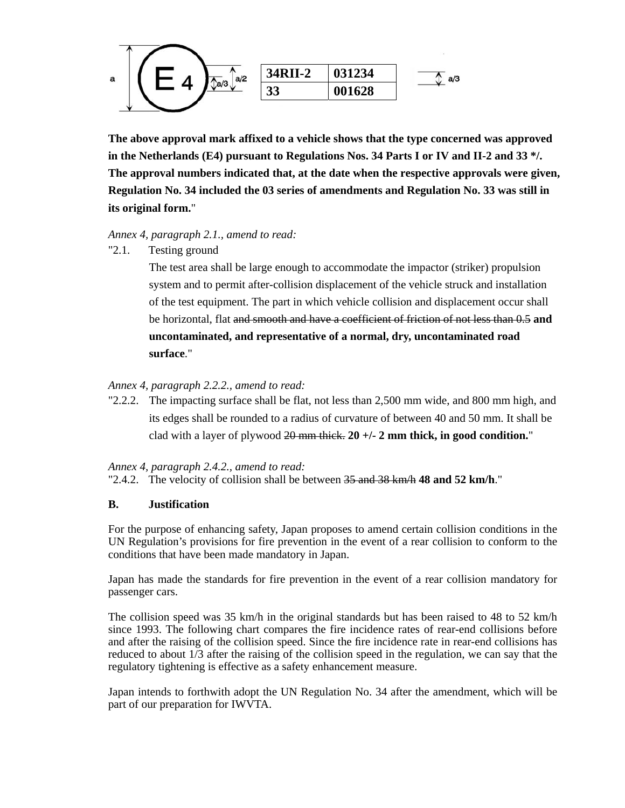

**The above approval mark affixed to a vehicle shows that the type concerned was approved in the Netherlands (E4) pursuant to Regulations Nos. 34 Parts I or IV and II-2 and 33 \*/. The approval numbers indicated that, at the date when the respective approvals were given, Regulation No. 34 included the 03 series of amendments and Regulation No. 33 was still in its original form.**"

### *Annex 4, paragraph 2.1., amend to read:*

"2.1. Testing ground

 The test area shall be large enough to accommodate the impactor (striker) propulsion system and to permit after-collision displacement of the vehicle struck and installation of the test equipment. The part in which vehicle collision and displacement occur shall be horizontal, flat and smooth and have a coefficient of friction of not less than 0.5 **and uncontaminated, and representative of a normal, dry, uncontaminated road surface**."

## *Annex 4, paragraph 2.2.2., amend to read:*

"2.2.2. The impacting surface shall be flat, not less than 2,500 mm wide, and 800 mm high, and its edges shall be rounded to a radius of curvature of between 40 and 50 mm. It shall be clad with a layer of plywood 20 mm thick. **20 +/- 2 mm thick, in good condition.**"

#### *Annex 4, paragraph 2.4.2., amend to read:*

"2.4.2. The velocity of collision shall be between 35 and 38 km/h **48 and 52 km/h**."

## **B. Justification**

For the purpose of enhancing safety, Japan proposes to amend certain collision conditions in the UN Regulation's provisions for fire prevention in the event of a rear collision to conform to the conditions that have been made mandatory in Japan.

Japan has made the standards for fire prevention in the event of a rear collision mandatory for passenger cars.

The collision speed was 35 km/h in the original standards but has been raised to 48 to 52 km/h since 1993. The following chart compares the fire incidence rates of rear-end collisions before and after the raising of the collision speed. Since the fire incidence rate in rear-end collisions has reduced to about 1/3 after the raising of the collision speed in the regulation, we can say that the regulatory tightening is effective as a safety enhancement measure.

Japan intends to forthwith adopt the UN Regulation No. 34 after the amendment, which will be part of our preparation for IWVTA.